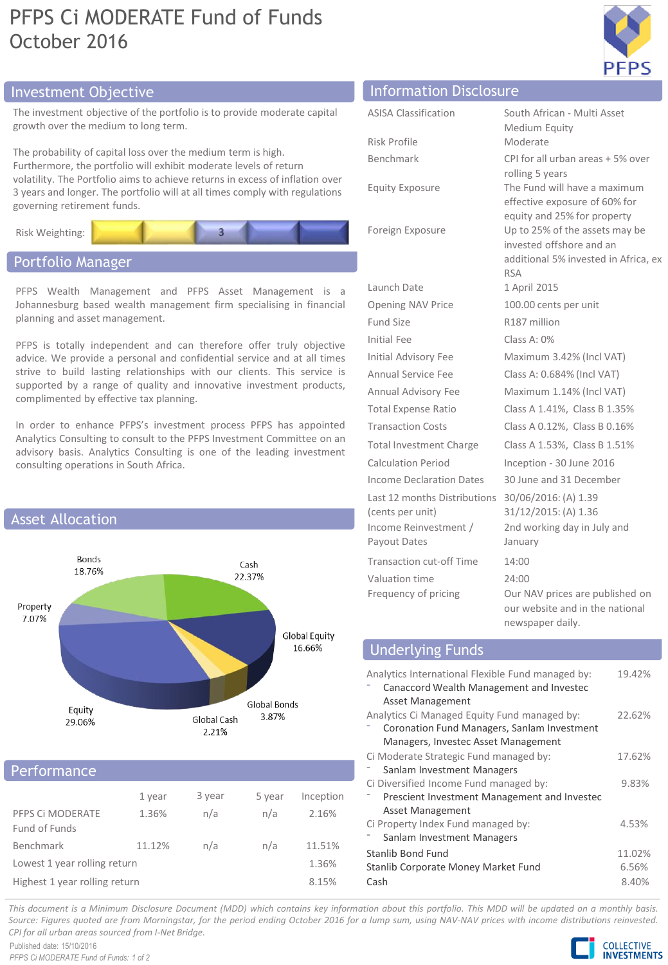# PFPS Ci MODERATE Fund of Funds October 2016



## Investment Objective Information Disclosure

The investment objective of the portfolio is to provide moderate capital growth over the medium to long term.

The probability of capital loss over the medium term is high. Furthermore, the portfolio will exhibit moderate levels of return volatility. The Portfolio aims to achieve returns in excess of inflation over 3 years and longer. The portfolio will at all times comply with regulations governing retirement funds.



## Portfolio Manager

PFPS Wealth Management and PFPS Asset Management is a Johannesburg based wealth management firm specialising in financial planning and asset management.

PFPS is totally independent and can therefore offer truly objective advice. We provide a personal and confidential service and at all times strive to build lasting relationships with our clients. This service is supported by a range of quality and innovative investment products, complimented by effective tax planning.

In order to enhance PFPS's investment process PFPS has appointed Analytics Consulting to consult to the PFPS Investment Committee on an advisory basis. Analytics Consulting is one of the leading investment consulting operations in South Africa.



### **Performance**

|                                   | 1 year | 3 year | 5 year | Inception |
|-----------------------------------|--------|--------|--------|-----------|
| PFPS CI MODERATE<br>Fund of Funds | 1.36%  | n/a    | n/a    | 2.16%     |
| Benchmark                         | 11.12% | n/a    | n/a    | 11.51%    |
| Lowest 1 year rolling return      | 1.36%  |        |        |           |
| Highest 1 year rolling return     |        |        |        |           |

| <b>ASISA Classification</b>                      | South African - Multi Asset<br>Medium Equity                                                                                      |
|--------------------------------------------------|-----------------------------------------------------------------------------------------------------------------------------------|
| Risk Profile                                     | Moderate                                                                                                                          |
| Benchmark                                        | CPI for all urban areas + 5% over<br>rolling 5 years                                                                              |
| <b>Equity Exposure</b>                           | The Fund will have a maximum<br>effective exposure of 60% for                                                                     |
| Foreign Exposure                                 | equity and 25% for property<br>Up to 25% of the assets may be<br>invested offshore and an<br>additional 5% invested in Africa, ex |
|                                                  | <b>RSA</b>                                                                                                                        |
| Launch Date                                      | 1 April 2015                                                                                                                      |
| <b>Opening NAV Price</b>                         | 100.00 cents per unit                                                                                                             |
| Fund Size                                        | R187 million                                                                                                                      |
| <b>Initial Fee</b>                               | Class A: 0%                                                                                                                       |
| <b>Initial Advisory Fee</b>                      | Maximum 3.42% (Incl VAT)                                                                                                          |
| Annual Service Fee                               | Class A: 0.684% (Incl VAT)                                                                                                        |
| Annual Advisory Fee                              | Maximum 1.14% (Incl VAT)                                                                                                          |
| <b>Total Expense Ratio</b>                       | Class A 1.41%, Class B 1.35%                                                                                                      |
| <b>Transaction Costs</b>                         | Class A 0.12%, Class B 0.16%                                                                                                      |
| Total Investment Charge                          | Class A 1.53%, Class B 1.51%                                                                                                      |
| <b>Calculation Period</b>                        | Inception - 30 June 2016                                                                                                          |
| Income Declaration Dates                         | 30 June and 31 December                                                                                                           |
| Last 12 months Distributions<br>(cents per unit) | 30/06/2016: (A) 1.39<br>31/12/2015: (A) 1.36                                                                                      |

Income Reinvestment / Payout Dates Transaction cut-off Time 14:00 Valuation time 24:00

Frequency of pricing **OUR DEAT OUR DEATER** on Prices are published on our website and in the national newspaper daily.

2nd working day in July and

January

### Underlying Funds

| Analytics International Flexible Fund managed by:<br>Canaccord Wealth Management and Investec<br><b>Asset Management</b> | 19.42% |
|--------------------------------------------------------------------------------------------------------------------------|--------|
| Analytics Ci Managed Equity Fund managed by:                                                                             | 22.62% |
| Coronation Fund Managers, Sanlam Investment                                                                              |        |
| Managers, Investec Asset Management                                                                                      |        |
| Ci Moderate Strategic Fund managed by:                                                                                   | 17.62% |
| Sanlam Investment Managers                                                                                               |        |
| Ci Diversified Income Fund managed by:                                                                                   | 9.83%  |
| Prescient Investment Management and Investec                                                                             |        |
| <b>Asset Management</b>                                                                                                  |        |
| Ci Property Index Fund managed by:                                                                                       | 4.53%  |
| Sanlam Investment Managers                                                                                               |        |
| Stanlib Bond Fund                                                                                                        | 11.02% |
| Stanlib Corporate Money Market Fund                                                                                      | 6.56%  |
| Cash                                                                                                                     | 8.40%  |

This document is a Minimum Disclosure Document (MDD) which contains key information about this portfolio. This MDD will be updated on a monthly basis. Source: Figures quoted are from Morningstar, for the period ending October 2016 for a lump sum, using NAV-NAV prices with income distributions reinvested. *CPI for all urban areas sourced from I-Net Bridge.*

Published date: 15/10/2016 *PFPS Ci MODERATE Fund of Funds: 1 of 2*